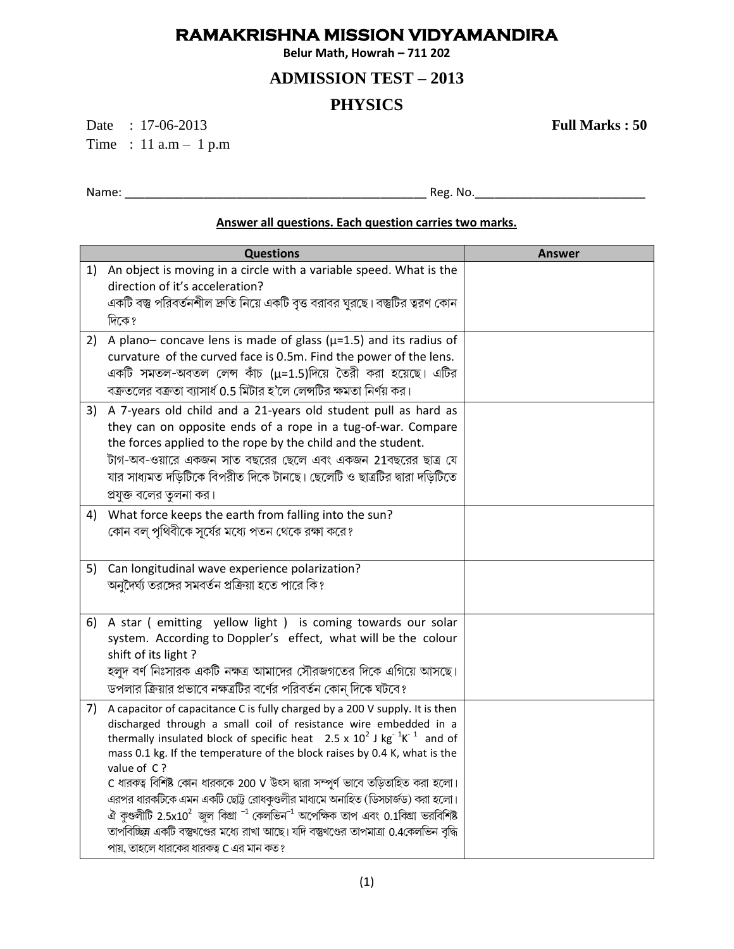## **RAMAKRISHNA MISSION VIDYAMANDIRA**

**Belur Math, Howrah – 711 202**

## **ADMISSION TEST – 2013**

## **PHYSICS**

Date : 17-06-2013 **Full Marks : 50** Time : 11 a.m – 1 p.m

Name: \_\_\_\_\_\_\_\_\_\_\_\_\_\_\_\_\_\_\_\_\_\_\_\_\_\_\_\_\_\_\_\_\_\_\_\_\_\_\_\_\_\_\_\_\_\_ Reg. No.\_\_\_\_\_\_\_\_\_\_\_\_\_\_\_\_\_\_\_\_\_\_\_\_\_\_

## **Answer all questions. Each question carries two marks.**

|    | <b>Questions</b>                                                                                                                                                                                                                                                                                                                                                                                                                                                                                                                                                                                                                                                                                                                                               | <b>Answer</b> |
|----|----------------------------------------------------------------------------------------------------------------------------------------------------------------------------------------------------------------------------------------------------------------------------------------------------------------------------------------------------------------------------------------------------------------------------------------------------------------------------------------------------------------------------------------------------------------------------------------------------------------------------------------------------------------------------------------------------------------------------------------------------------------|---------------|
| 1) | An object is moving in a circle with a variable speed. What is the<br>direction of it's acceleration?<br>একটি বস্তু পরিবর্তনশীল দ্রুতি নিয়ে একটি বৃত্ত বরাবর ঘুরছে। বস্তুটির ত্বরণ কোন<br>দিকে?                                                                                                                                                                                                                                                                                                                                                                                                                                                                                                                                                               |               |
| 2) | A plano-concave lens is made of glass ( $\mu$ =1.5) and its radius of<br>curvature of the curved face is 0.5m. Find the power of the lens.<br>একটি সমতল-অবতল লেন্স কাঁচ (μ=1.5)দিয়ে তৈরী করা হয়েছে। এটির<br>বক্রতলের বক্রতা ব্যাসার্ধ 0.5 মিটার হ'লে লেন্সটির ক্ষমতা নির্ণয় কর।                                                                                                                                                                                                                                                                                                                                                                                                                                                                             |               |
| 3) | A 7-years old child and a 21-years old student pull as hard as<br>they can on opposite ends of a rope in a tug-of-war. Compare<br>the forces applied to the rope by the child and the student.<br>টাগ-অব-ওয়ারে একজন সাত বছরের ছেলে এবং একজন 21বছরের ছাত্র যে<br>যার সাধ্যমত দড়িটিকে বিপরীত দিকে টানছে। ছেলেটি ও ছাত্রটির দ্বারা দড়িটিতে<br>প্রযুক্ত বলের তুলনা কর।                                                                                                                                                                                                                                                                                                                                                                                          |               |
| 4) | What force keeps the earth from falling into the sun?<br>কোন বল্ পৃথিবীকে সূর্যের মধ্যে পতন থেকে রক্ষা করে?                                                                                                                                                                                                                                                                                                                                                                                                                                                                                                                                                                                                                                                    |               |
| 5) | Can longitudinal wave experience polarization?<br>অনুদৈর্ঘ্য তরঙ্গের সমবর্তন প্রক্রিয়া হতে পারে কি?                                                                                                                                                                                                                                                                                                                                                                                                                                                                                                                                                                                                                                                           |               |
| 6) | A star (emitting yellow light) is coming towards our solar<br>system. According to Doppler's effect, what will be the colour<br>shift of its light?<br>হলুদ বর্ণ নিঃসারক একটি নক্ষত্র আমাদের সৌরজগতের দিকে এগিয়ে আসছে।<br>ডপলার ক্রিয়ার প্রভাবে নক্ষত্রটির বর্ণের পরিবর্তন কোন্ দিকে ঘটবে?                                                                                                                                                                                                                                                                                                                                                                                                                                                                   |               |
| 7) | A capacitor of capacitance C is fully charged by a 200 V supply. It is then<br>discharged through a small coil of resistance wire embedded in a<br>thermally insulated block of specific heat $2.5 \times 10^2$ J kg <sup>-1</sup> K <sup>-1</sup> and of<br>mass 0.1 kg. If the temperature of the block raises by 0.4 K, what is the<br>value of C?<br>C ধারকত্ব বিশিষ্ট কোন ধারককে 200 V উৎস দ্বারা সম্পূর্ণ ভাবে তড়িতাহিত করা হলো।<br>এরপর ধারকটিকে এমন একটি ছোট্ট রোধকুণ্ডলীর মাধ্যমে অনাহিত (ডিসচার্জড) করা হলো।<br>ঐ কুণ্ডলীটি 2.5x10 $^2$ জুল কিগ্রা $^{-1}$ কেলভিন $^{-1}$ অপেক্ষিক তাপ এবং 0.1কিগ্রা ভরবিশিষ্ট<br>তাপবিচ্ছিন একটি বস্তুখণ্ডের মধ্যে রাখা আছে। যদি বস্তুখণ্ডের তাপমাত্রা 0.4কেলভিন বৃদ্ধি<br>পায়, তাহলে ধারকের ধারকত্ব C এর মান কত? |               |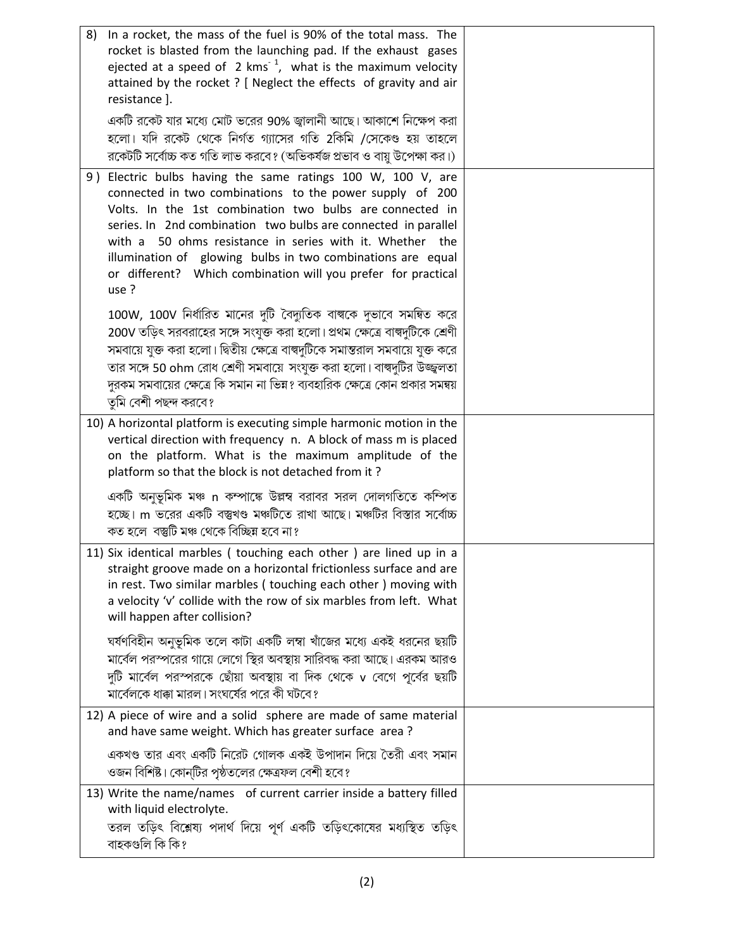| In a rocket, the mass of the fuel is 90% of the total mass. The<br>8)<br>rocket is blasted from the launching pad. If the exhaust gases<br>ejected at a speed of $2 \text{ km s}^{-1}$ , what is the maximum velocity<br>attained by the rocket ? [ Neglect the effects of gravity and air<br>resistance].                                                                                                                                                    |  |
|---------------------------------------------------------------------------------------------------------------------------------------------------------------------------------------------------------------------------------------------------------------------------------------------------------------------------------------------------------------------------------------------------------------------------------------------------------------|--|
| একটি রকেট যার মধ্যে মোট ভরের 90% জ্বালানী আছে। আকাশে নিক্ষেপ করা<br>হলো। যদি রকেট থেকে নির্গত গ্যাসের গতি 2কিমি /সেকেণ্ড হয় তাহলে<br>রকেটটি সর্বোচ্চ কত গতি লাভ করবে? (অভিকর্ষজ প্রভাব ও বায়ু উপেক্ষা কর।)                                                                                                                                                                                                                                                  |  |
| 9) Electric bulbs having the same ratings 100 W, 100 V, are<br>connected in two combinations to the power supply of 200<br>Volts. In the 1st combination two bulbs are connected in<br>series. In 2nd combination two bulbs are connected in parallel<br>50 ohms resistance in series with it. Whether the<br>with a<br>illumination of glowing bulbs in two combinations are equal<br>or different? Which combination will you prefer for practical<br>use ? |  |
| 100W, 100V নির্ধারিত মানের দুটি বৈদ্যুতিক বাল্বকে দুভাবে সমন্বিত করে<br>200V তড়িৎ সরবরাহের সঙ্গে সংযুক্ত করা হলো। প্রথম ক্ষেত্রে বাল্বদুটিকে শ্রেণী<br>সমবায়ে যুক্ত করা হলো। দ্বিতীয় ক্ষেত্রে বাল্বদুটিকে সমান্তরাল সমবায়ে যুক্ত করে<br>তার সঙ্গে 50 ohm রোধ শ্রেণী সমবায়ে সংযুক্ত করা হলো। বাল্বদুটির উজ্জ্বলতা<br>দুরকম সমবায়ের ক্ষেত্রে কি সমান না ভিন্ন? ব্যবহারিক ক্ষেত্রে কোন প্রকার সমন্বয়<br>তুমি বেশী পছন্দ করবে?                             |  |
| 10) A horizontal platform is executing simple harmonic motion in the<br>vertical direction with frequency n. A block of mass m is placed<br>on the platform. What is the maximum amplitude of the<br>platform so that the block is not detached from it?                                                                                                                                                                                                      |  |
| একটি অনুভূমিক মঞ্চ n কম্পাঙ্কে উল্লম্ব বরাবর সরল দোলগতিতে কম্পিত<br>হচ্ছে। m ভরের একটি বস্তুখণ্ড মঞ্চটিতে রাখা আছে। মঞ্চটির বিস্তার সর্বোচ্চ<br>কত হলে বস্তুটি মঞ্চ থেকে বিচ্ছিন্ন হবে না?                                                                                                                                                                                                                                                                    |  |
| 11) Six identical marbles (touching each other) are lined up in a<br>straight groove made on a horizontal frictionless surface and are<br>in rest. Two similar marbles (touching each other) moving with<br>a velocity 'v' collide with the row of six marbles from left. What<br>will happen after collision?                                                                                                                                                |  |
| ঘর্ষণবিহীন অনুভূমিক তলে কাটা একটি লম্বা খাঁজের মধ্যে একই ধরনের ছয়টি<br>মার্বেল পরস্পরের গায়ে লেগে স্থির অবস্থায় সারিবদ্ধ করা আছে। এরকম আরও<br>দুটি মার্বেল পরস্পরকে ছোঁয়া অবস্থায় বা দিক থেকে v বেগে পূর্বের ছয়টি<br>মার্বেলকে ধাক্কা মারল। সংঘর্ষের পরে কী ঘটবে?                                                                                                                                                                                       |  |
| 12) A piece of wire and a solid sphere are made of same material<br>and have same weight. Which has greater surface area?                                                                                                                                                                                                                                                                                                                                     |  |
| একখণ্ড তার এবং একটি নিরেট গোলক একই উপাদান দিয়ে তৈরী এবং সমান<br>ওজন বিশিষ্ট। কোন্টির পৃষ্ঠতলের ক্ষেত্রফল বেশী হবে?                                                                                                                                                                                                                                                                                                                                           |  |
| 13) Write the name/names of current carrier inside a battery filled<br>with liquid electrolyte.<br>তরল তড়িৎ বিশ্লেষ্য পদার্থ দিয়ে পূর্ণ একটি তড়িৎকোষের মধ্যস্থিত তড়িৎ<br>বাহকগুলি কি কি?                                                                                                                                                                                                                                                                  |  |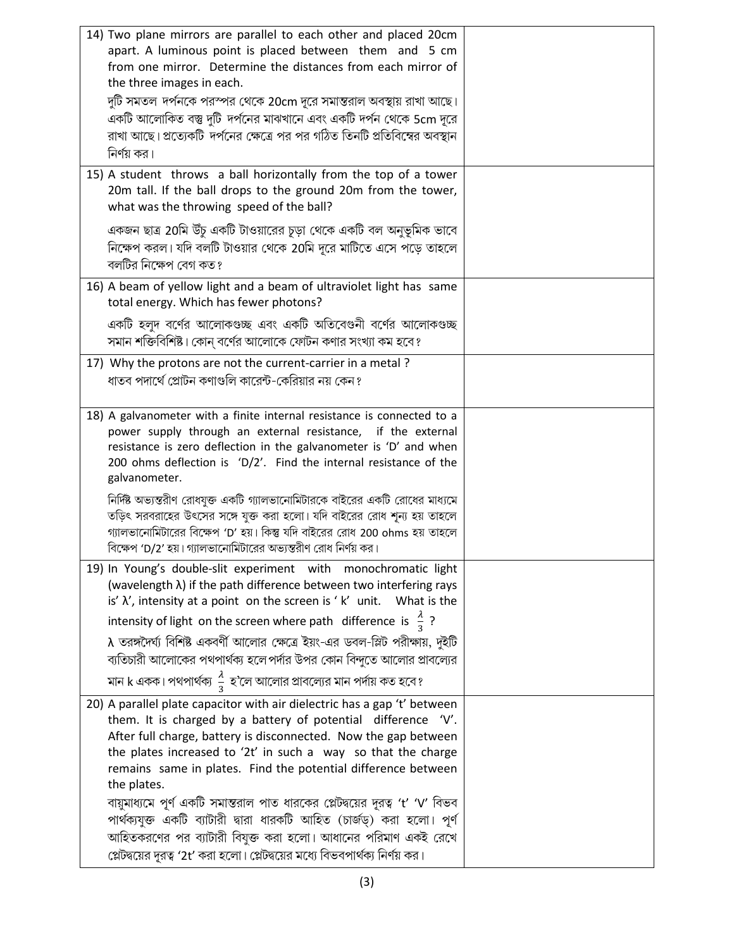| 14) Two plane mirrors are parallel to each other and placed 20cm<br>apart. A luminous point is placed between them and 5 cm<br>from one mirror. Determine the distances from each mirror of<br>the three images in each.                                                                                                                                      |  |
|---------------------------------------------------------------------------------------------------------------------------------------------------------------------------------------------------------------------------------------------------------------------------------------------------------------------------------------------------------------|--|
| দুটি সমতল দর্পনকে পরস্পর থেকে 20cm দূরে সমান্তরাল অবস্থায় রাখা আছে।<br>একটি আলোকিত বস্তু দুটি দর্পনের মাঝখানে এবং একটি দর্পন থেকে 5cm দূরে<br>রাখা আছে। প্রত্যেকটি দর্পনের ক্ষেত্রে পর পর গঠিত তিনটি প্রতিবিম্বের অবস্থান<br>নির্ণয় কর।                                                                                                                     |  |
| 15) A student throws a ball horizontally from the top of a tower<br>20m tall. If the ball drops to the ground 20m from the tower,<br>what was the throwing speed of the ball?                                                                                                                                                                                 |  |
| একজন ছাত্র 20মি উঁচু একটি টাওয়ারের চূড়া থেকে একটি বল অনুভূমিক ভাবে<br>নিক্ষেপ করল। যদি বলটি টাওয়ার থেকে 20মি দূরে মাটিতে এসে পড়ে তাহলে<br>বলটির নিক্ষেপ বেগ কত?                                                                                                                                                                                           |  |
| 16) A beam of yellow light and a beam of ultraviolet light has same<br>total energy. Which has fewer photons?                                                                                                                                                                                                                                                 |  |
| একটি হলুদ বর্ণের আলোকগুচ্ছ এবং একটি অতিবেগুনী বর্ণের আলোকগুচ্ছ<br>সমান শক্তিবিশিষ্ট। কোন্ বর্ণের আলোকে ফোটন কণার সংখ্যা কম হবে?                                                                                                                                                                                                                               |  |
| 17) Why the protons are not the current-carrier in a metal?<br>ধাতব পদার্থে প্রোটন কণাগুলি কারেন্ট-কেরিয়ার নয় কেন ?                                                                                                                                                                                                                                         |  |
| 18) A galvanometer with a finite internal resistance is connected to a<br>power supply through an external resistance, if the external<br>resistance is zero deflection in the galvanometer is 'D' and when<br>200 ohms deflection is 'D/2'. Find the internal resistance of the<br>galvanometer.                                                             |  |
| নির্দিষ্ট অভ্যন্তরীণ রোধযুক্ত একটি গ্যালভানোমিটারকে বাইরের একটি রোধের মাধ্যমে<br>তড়িৎ সরবরাহের উৎসের সঙ্গে যুক্ত করা হলো। যদি বাইরের রোধ শূন্য হয় তাহলে<br>গ্যালভানোমিটারের বিক্ষেপ 'D' হয়। কিন্তু যদি বাইরের রোধ 200 ohms হয় তাহলে<br>বিক্ষেপ 'D/2' হয়। গ্যালভানোমিটারের অভ্যন্তরীণ রোধ নির্ণয় কর।                                                     |  |
| 19) In Young's double-slit experiment with monochromatic light<br>(wavelength $\lambda$ ) if the path difference between two interfering rays<br>is' $\lambda'$ , intensity at a point on the screen is 'k' unit. What is the                                                                                                                                 |  |
| intensity of light on the screen where path difference is $\frac{\pi}{3}$ ?                                                                                                                                                                                                                                                                                   |  |
| $\lambda$ তরঙ্গদৈর্ঘ্য বিশিষ্ট একবর্ণী আলোর ক্ষেত্রে ইয়ং-এর ডবল-স্লিট পরীক্ষায়, দুইটি<br>ব্যতিচারী আলোকের পথপার্থক্য হলে পর্দার উপর কোন বিন্দুতে আলোর প্রাবল্যের                                                                                                                                                                                            |  |
| মান k একক। পথপার্থক্য $\frac{\lambda}{3}$ হ'লে আলোর প্রাবল্যের মান পর্দায় কত হবে?                                                                                                                                                                                                                                                                            |  |
| 20) A parallel plate capacitor with air dielectric has a gap 't' between<br>them. It is charged by a battery of potential difference 'V'.<br>After full charge, battery is disconnected. Now the gap between<br>the plates increased to '2t' in such a way so that the charge<br>remains same in plates. Find the potential difference between<br>the plates. |  |
| বায়ুমাধ্যমে পূর্ণ একটি সমান্তরাল পাত ধারকের প্লেটদ্বয়ের দূরত্ব 't' 'V' বিভব<br>পার্থক্যযুক্ত একটি ব্যাটারী দ্বারা ধারকটি আহিত (চার্জড্) করা হলো। পূর্ণ<br>আহিতকরণের পর ব্যাটারী বিযুক্ত করা হলো। আধানের পরিমাণ একই রেখে<br>প্লেটদ্বয়ের দূরত্ব '2t' করা হলো। প্লেটদ্বয়ের মধ্যে বিভবপার্থক্য নির্ণয় কর।                                                    |  |